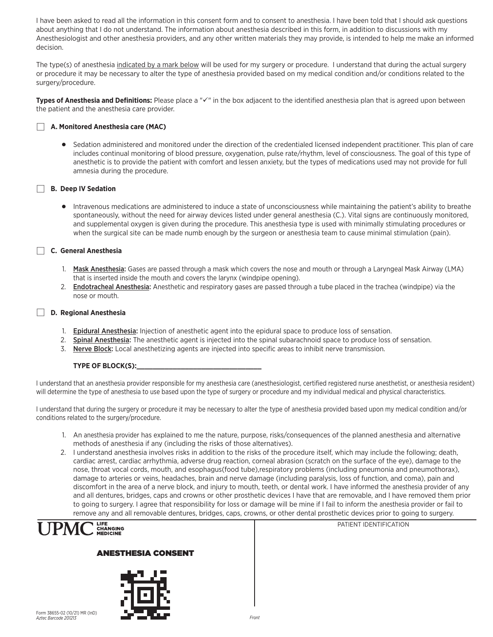I have been asked to read all the information in this consent form and to consent to anesthesia. I have been told that I should ask questions about anything that I do not understand. The information about anesthesia described in this form, in addition to discussions with my Anesthesiologist and other anesthesia providers, and any other written materials they may provide, is intended to help me make an informed decision.

The type(s) of anesthesia indicated by a mark below will be used for my surgery or procedure. I understand that during the actual surgery or procedure it may be necessary to alter the type of anesthesia provided based on my medical condition and/or conditions related to the surgery/procedure.

**Types of Anesthesia and Definitions:** Please place a " $\check{ }$ " in the box adjacent to the identified anesthesia plan that is agreed upon between the patient and the anesthesia care provider.



# j **A. Monitored Anesthesia care (MAC)**

 D Sedation administered and monitored under the direction of the credentialed licensed independent practitioner. This plan of care includes continual monitoring of blood pressure, oxygenation, pulse rate/rhythm, level of consciousness. The goal of this type of anesthetic is to provide the patient with comfort and lessen anxiety, but the types of medications used may not provide for full amnesia during the procedure.

## **Here** IV Sedation

 D Intravenous medications are administered to induce a state of unconsciousness while maintaining the patient's ability to breathe spontaneously, without the need for airway devices listed under general anesthesia (C.). Vital signs are continuously monitored, and supplemental oxygen is given during the procedure. This anesthesia type is used with minimally stimulating procedures or when the surgical site can be made numb enough by the surgeon or anesthesia team to cause minimal stimulation (pain).

## j **C. General Anesthesia**

- 1. Mask Anesthesia: Gases are passed through a mask which covers the nose and mouth or through a Laryngeal Mask Airway (LMA) that is inserted inside the mouth and covers the larynx (windpipe opening).
- 2. Endotracheal Anesthesia: Anesthetic and respiratory gases are passed through a tube placed in the trachea (windpipe) via the nose or mouth.

### j **D. Regional Anesthesia**

- 1. Epidural Anesthesia: Injection of anesthetic agent into the epidural space to produce loss of sensation.
- 2. Spinal Anesthesia: The anesthetic agent is injected into the spinal subarachnoid space to produce loss of sensation.
- 3. Nerve Block: Local anesthetizing agents are injected into specific areas to inhibit nerve transmission.

### **TYPE OF BLOCK(S):**

I understand that an anesthesia provider responsible for my anesthesia care (anesthesiologist, certified registered nurse anesthetist, or anesthesia resident) will determine the type of anesthesia to use based upon the type of surgery or procedure and my individual medical and physical characteristics.

I understand that during the surgery or procedure it may be necessary to alter the type of anesthesia provided based upon my medical condition and/or conditions related to the surgery/procedure.

- 1. An anesthesia provider has explained to me the nature, purpose, risks/consequences of the planned anesthesia and alternative methods of anesthesia if any (including the risks of those alternatives).
- 2. I understand anesthesia involves risks in addition to the risks of the procedure itself, which may include the following; death, cardiac arrest, cardiac arrhythmia, adverse drug reaction, corneal abrasion (scratch on the surface of the eye), damage to the nose, throat vocal cords, mouth, and esophagus(food tube),respiratory problems (including pneumonia and pneumothorax), damage to arteries or veins, headaches, brain and nerve damage (including paralysis, loss of function, and coma), pain and discomfort in the area of a nerve block, and injury to mouth, teeth, or dental work. I have informed the anesthesia provider of any and all dentures, bridges, caps and crowns or other prosthetic devices I have that are removable, and I have removed them prior to going to surgery. I agree that responsibility for loss or damage will be mine if I fail to inform the anesthesia provider or fail to remove any and all removable dentures, bridges, caps, crowns, or other dental prosthetic devices prior to going to surgery.